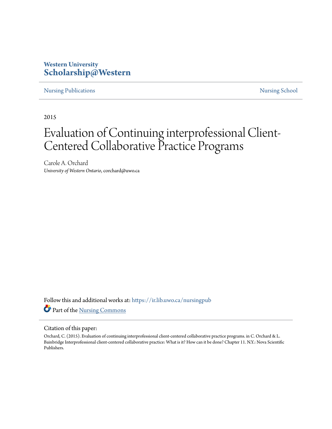### **Western University [Scholarship@Western](https://ir.lib.uwo.ca/?utm_source=ir.lib.uwo.ca%2Fnursingpub%2F284&utm_medium=PDF&utm_campaign=PDFCoverPages)**

[Nursing Publications](https://ir.lib.uwo.ca/nursingpub?utm_source=ir.lib.uwo.ca%2Fnursingpub%2F284&utm_medium=PDF&utm_campaign=PDFCoverPages) **[Nursing School](https://ir.lib.uwo.ca/nursing?utm_source=ir.lib.uwo.ca%2Fnursingpub%2F284&utm_medium=PDF&utm_campaign=PDFCoverPages)** 

2015

# Evaluation of Continuing interprofessional Client-Centered Collaborative Practice Programs

Carole A. Orchard *University of Western Ontario*, corchard@uwo.ca

Follow this and additional works at: [https://ir.lib.uwo.ca/nursingpub](https://ir.lib.uwo.ca/nursingpub?utm_source=ir.lib.uwo.ca%2Fnursingpub%2F284&utm_medium=PDF&utm_campaign=PDFCoverPages) Part of the [Nursing Commons](http://network.bepress.com/hgg/discipline/718?utm_source=ir.lib.uwo.ca%2Fnursingpub%2F284&utm_medium=PDF&utm_campaign=PDFCoverPages)

#### Citation of this paper:

Orchard, C. (2015). Evaluation of continuing interprofessional client-centered collaborative practice programs. in C. Orchard & L. Bainbridge Interprofessional client-centered collaborative practice: What is it? How can it be done? Chapter 11. N.Y.: Nova Scientific Publishers.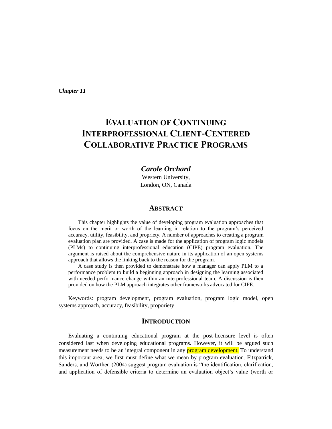*Chapter 11*

## **EVALUATION OF CONTINUING INTERPROFESSIONAL CLIENT-CENTERED COLLABORATIVE PRACTICE PROGRAMS**

#### *Carole Orchard*

Western University, London, ON, Canada

#### **ABSTRACT**

This chapter highlights the value of developing program evaluation approaches that focus on the merit or worth of the learning in relation to the program's perceived accuracy, utility, feasibility, and propriety. A number of approaches to creating a program evaluation plan are provided. A case is made for the application of program logic models (PLMs) to continuing interprofessional education (CIPE) program evaluation. The argument is raised about the comprehensive nature in its application of an open systems approach that allows the linking back to the reason for the program.

A case study is then provided to demonstrate how a manager can apply PLM to a performance problem to build a beginning approach in designing the learning associated with needed performance change within an interprofessional team. A discussion is then provided on how the PLM approach integrates other frameworks advocated for CIPE.

Keywords: program development, program evaluation, program logic model, open systems approach, accuracy, feasibility, proporiety

#### **INTRODUCTION**

Evaluating a continuing educational program at the post-licensure level is often considered last when developing educational programs. However, it will be argued such measurement needs to be an integral component in any **program development**. To understand this important area, we first must define what we mean by program evaluation. Fitzpatrick, Sanders, and Worthen (2004) suggest program evaluation is "the identification, clarification, and application of defensible criteria to determine an evaluation object's value (worth or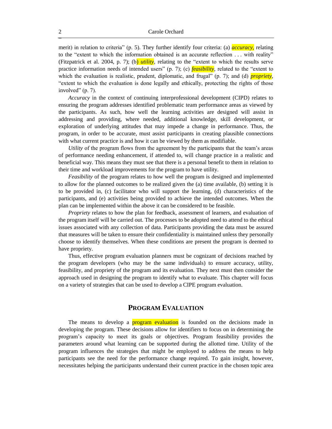merit) in relation to criteria" (p. 5). They further identify four criteria: (a) *accuracy,* relating to the "extent to which the information obtained is an accurate reflection . . . with reality" (Fitzpatrick et al. 2004, p. 7); (b) *utility,* relating to the "extent to which the results serve practice information needs of intended users" (p. 7); (c) *feasibility,* related to the "extent to which the evaluation is realistic, prudent, diplomatic, and frugal" (p. 7); and (d) *propriety*, "extent to which the evaluation is done legally and ethically, protecting the rights of those involved" (p. 7).

*Accuracy* in the context of continuing interprofessional development (CIPD) relates to ensuring the program addresses identified problematic team performance areas as viewed by the participants. As such, how well the learning activities are designed will assist in addressing and providing, where needed, additional knowledge, skill development, or exploration of underlying attitudes that may impede a change in performance. Thus, the program, in order to be accurate, must assist participants in creating plausible connections with what current practice is and how it can be viewed by them as modifiable.

*Utility* of the program flows from the agreement by the participants that the team's areas of performance needing enhancement, if attended to, will change practice in a realistic and beneficial way. This means they must see that there is a personal benefit to them in relation to their time and workload improvements for the program to have utility.

*Feasibility* of the program relates to how well the program is designed and implemented to allow for the planned outcomes to be realized given the (a) time available, (b) setting it is to be provided in, (c) facilitator who will support the learning, (d) characteristics of the participants, and (e) activities being provided to achieve the intended outcomes. When the plan can be implemented within the above it can be considered to be feasible.

*Propriety* relates to how the plan for feedback, assessment of learners, and evaluation of the program itself will be carried out. The processes to be adopted need to attend to the ethical issues associated with any collection of data. Participants providing the data must be assured that measures will be taken to ensure their confidentiality is maintained unless they personally choose to identify themselves. When these conditions are present the program is deemed to have propriety.

Thus, effective program evaluation planners must be cognizant of decisions reached by the program developers (who may be the same individuals) to ensure accuracy, utility, feasibility, and propriety of the program and its evaluation. They next must then consider the approach used in designing the program to identify what to evaluate. This chapter will focus on a variety of strategies that can be used to develop a CIPE program evaluation.

#### **PROGRAM EVALUATION**

The means to develop a **program evaluation** is founded on the decisions made in developing the program. These decisions allow for identifiers to focus on in determining the program's capacity to meet its goals or objectives. Program feasibility provides the parameters around what learning can be supported during the allotted time. Utility of the program influences the strategies that might be employed to address the means to help participants see the need for the performance change required. To gain insight, however, necessitates helping the participants understand their current practice in the chosen topic area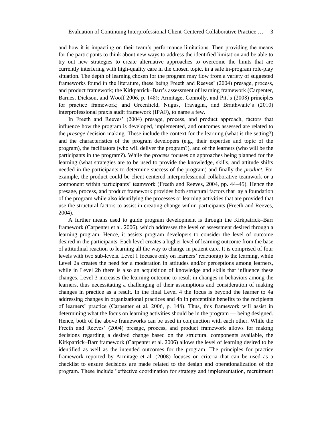and how it is impacting on their team's performance limitations. Then providing the means for the participants to think about new ways to address the identified limitation and be able to try out new strategies to create alternative approaches to overcome the limits that are currently interfering with high-quality care in the chosen topic, in a safe in-program role-play situation. The depth of learning chosen for the program may flow from a variety of suggested frameworks found in the literature, these being Freeth and Reeves' (2004) presage, process, and product framework; the Kirkpatrick–Barr's assessment of learning framework (Carpenter, Barnes, Dickson, and Wooff 2006, p. 148); Armitage, Connolly, and Pitt's (2008) principles for practice framework; and Greenfield, Nugus, Travaglia, and Braithwaite's (2010) interprofessional praxis audit framework (IPAF), to name a few.

In Freeth and Reeves' (2004) presage, process, and product approach, factors that influence how the program is developed, implemented, and outcomes assessed are related to the *presage* decision making*.* These include the context for the learning (what is the setting?) and the characteristics of the program developers (e.g., their expertise and topic of the program), the facilitators (who will deliver the program?), and of the learners (who will be the participants in the program?). While the *process* focuses on approaches being planned for the learning (what strategies are to be used to provide the knowledge, skills, and attitude shifts needed in the participants to determine success of the program) and finally the *product*. For example, the product could be client-centered interprofessional collaborative teamwork or a component within participants' teamwork (Freeth and Reeves, 2004, pp. 44–45). Hence the presage, process, and product framework provides both structural factors that lay a foundation of the program while also identifying the processes or learning activities that are provided that use the structural factors to assist in creating change within participants (Freeth and Reeves, 2004).

A further means used to guide program development is through the Kirkpatrick–Barr framework (Carpenter et al. 2006), which addresses the level of assessment desired through a learning program. Hence, it assists program developers to consider the level of outcome desired in the participants. Each level creates a higher level of learning outcome from the base of attitudinal reaction to learning all the way to change in patient care. It is comprised of four levels with two sub-levels. Level 1 focuses only on learners' reaction(s) to the learning, while Level 2a creates the need for a moderation in attitudes and/or perceptions among learners, while in Level 2b there is also an acquisition of knowledge and skills that influence these changes. Level 3 increases the learning outcome to result in changes in behaviors among the learners, thus necessitating a challenging of their assumptions and consideration of making changes in practice as a result. In the final Level 4 the focus is beyond the learner to 4a addressing changes in organizational practices and 4b in perceptible benefits to the recipients of learners' practice (Carpenter et al. 2006, p. 148). Thus, this framework will assist in determining what the focus on learning activities should be in the program — being designed. Hence, both of the above frameworks can be used in conjunction with each other. While the Freeth and Reeves' (2004) presage, process, and product framework allows for making decisions regarding a desired change based on the structural components available, the Kirkpatrick–Barr framework (Carpenter et al. 2006) allows the level of learning desired to be identified as well as the intended outcomes for the program. The principles for practice framework reported by Armitage et al. (2008) focuses on criteria that can be used as a checklist to ensure decisions are made related to the design and operationalization of the program. These include "effective coordination for strategy and implementation, recruitment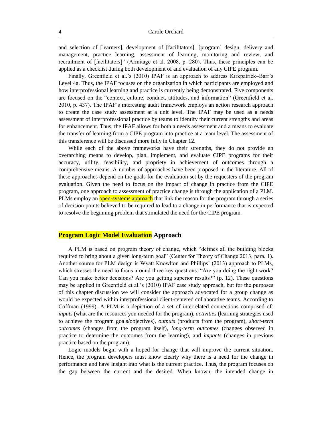and selection of [learners], development of [facilitators], [program] design, delivery and management, practice learning, assessment of learning, monitoring and review, and recruitment of [facilitators]" (Armitage et al. 2008, p. 280). Thus, these principles can be applied as a checklist during both development of and evaluation of any CIPE program.

Finally, Greenfield et al.'s (2010) IPAF is an approach to address Kirkpatrick–Barr's Level 4a. Thus, the IPAF focuses on the organization in which participants are employed and how interprofessional learning and practice is currently being demonstrated. Five components are focused on the "context, culture, conduct, attitudes, and information" (Greenfield et al. 2010, p. 437). The IPAF's interesting audit framework employs an action research approach to create the case study assessment at a unit level. The IPAF may be used as a needs assessment of interprofessional practice by teams to identify their current strengths and areas for enhancement. Thus, the IPAF allows for both a needs assessment and a means to evaluate the transfer of learning from a CIPE program into practice at a team level. The assessment of this transference will be discussed more fully in Chapter 12.

While each of the above frameworks have their strengths, they do not provide an overarching means to develop, plan, implement, and evaluate CIPE programs for their accuracy, utility, feasibility, and propriety in achievement of outcomes through a comprehensive means. A number of approaches have been proposed in the literature. All of these approaches depend on the goals for the evaluation set by the requesters of the program evaluation. Given the need to focus on the impact of change in practice from the CIPE program, one approach to assessment of practice change is through the application of a PLM. PLMs employ an **open-systems approach** that link the reason for the program through a series of decision points believed to be required to lead to a change in performance that is expected to resolve the beginning problem that stimulated the need for the CIPE program.

#### **Program Logic Model Evaluation Approach**

A PLM is based on program theory of change, which "defines all the building blocks required to bring about a given long-term goal" (Center for Theory of Change 2013, para. 1). Another source for PLM design is Wyatt Knowlton and Phillips' (2013) approach to PLMs, which stresses the need to focus around three key questions: "Are you doing the right work? Can you make better decisions? Are you getting superior results?" (p. 12). These questions may be applied in Greenfield et al.'s (2010) IPAF case study approach, but for the purposes of this chapter discussion we will consider the approach advocated for a group change as would be expected within interprofessional client-centered collaborative teams. According to Coffman (1999), A PLM is a depiction of a set of interrelated connections comprised of: *inputs* (what are the resources you needed for the program), *activities* (learning strategies used to achieve the program goals/objectives), *outputs* (products from the program), *short-term outcomes* (changes from the program itself), *long-term outcomes* (changes observed in practice to determine the outcomes from the learning), and *impacts* (changes in previous practice based on the program).

Logic models begin with a hoped for change that will improve the current situation. Hence, the program developers must know clearly why there is a need for the change in performance and have insight into what is the current practice. Thus, the program focuses on the gap between the current and the desired. When known, the intended change in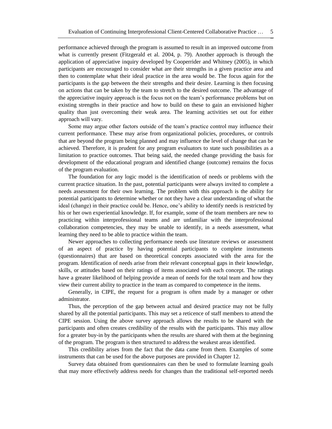performance achieved through the program is assumed to result in an improved outcome from what is currently present (Fitzgerald et al. 2004, p. 79). Another approach is through the application of appreciative inquiry developed by Cooperrider and Whitney (2005), in which participants are encouraged to consider what are their strengths in a given practice area and then to contemplate what their ideal practice in the area would be. The focus again for the participants is the gap between the their strengths and their desire. Learning is then focusing on actions that can be taken by the team to stretch to the desired outcome. The advantage of the appreciative inquiry approach is the focus not on the team's performance problems but on existing strengths in their practice and how to build on these to gain an envisioned higher quality than just overcoming their weak area. The learning activities set out for either approach will vary.

Some may argue other factors outside of the team's practice control may influence their current performance. These may arise from organizational policies, procedures, or controls that are beyond the program being planned and may influence the level of change that can be achieved. Therefore, it is prudent for any program evaluators to state such possibilities as a limitation to practice outcomes. That being said, the needed change providing the basis for development of the educational program and identified change (outcome) remains the focus of the program evaluation.

The foundation for any logic model is the identification of needs or problems with the current practice situation. In the past, potential participants were always invited to complete a needs assessment for their own learning. The problem with this approach is the ability for potential participants to determine whether or not they have a clear understanding of what the ideal (change) in their practice could be. Hence, one's ability to identify needs is restricted by his or her own experiential knowledge. If, for example, some of the team members are new to practicing within interprofessional teams and are unfamiliar with the interprofessional collaboration competencies, they may be unable to identify, in a needs assessment, what learning they need to be able to practice within the team.

Newer approaches to collecting performance needs use literature reviews or assessment of an aspect of practice by having potential participants to complete instruments (questionnaires) that are based on theoretical concepts associated with the area for the program. Identification of needs arise from their relevant conceptual gaps in their knowledge, skills, or attitudes based on their ratings of items associated with each concept. The ratings have a greater likelihood of helping provide a mean of needs for the total team and how they view their current ability to practice in the team as compared to competence in the items.

Generally, in CIPE, the request for a program is often made by a manager or other administrator.

Thus, the perception of the gap between actual and desired practice may not be fully shared by all the potential participants. This may set a reticence of staff members to attend the CIPE session. Using the above survey approach allows the results to be shared with the participants and often creates credibility of the results with the participants. This may allow for a greater buy-in by the participants when the results are shared with them at the beginning of the program. The program is then structured to address the weakest areas identified.

This credibility arises from the fact that the data came from them. Examples of some instruments that can be used for the above purposes are provided in Chapter 12.

Survey data obtained from questionnaires can then be used to formulate learning goals that may more effectively address needs for changes than the traditional self-reported needs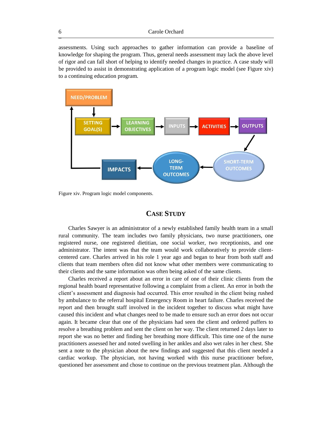assessments. Using such approaches to gather information can provide a baseline of knowledge for shaping the program. Thus, general needs assessment may lack the above level of rigor and can fall short of helping to identify needed changes in practice. A case study will be provided to assist in demonstrating application of a program logic model (see Figure xiv) to a continuing education program.



Figure xiv. Program logic model components.

#### **CASE STUDY**

Charles Sawyer is an administrator of a newly established family health team in a small rural community. The team includes two family physicians, two nurse practitioners, one registered nurse, one registered dietitian, one social worker, two receptionists, and one administrator. The intent was that the team would work collaboratively to provide clientcentered care. Charles arrived in his role 1 year ago and began to hear from both staff and clients that team members often did not know what other members were communicating to their clients and the same information was often being asked of the same clients.

Charles received a report about an error in care of one of their clinic clients from the regional health board representative following a complaint from a client. An error in both the client's assessment and diagnosis had occurred. This error resulted in the client being rushed by ambulance to the referral hospital Emergency Room in heart failure. Charles received the report and then brought staff involved in the incident together to discuss what might have caused this incident and what changes need to be made to ensure such an error does not occur again. It became clear that one of the physicians had seen the client and ordered puffers to resolve a breathing problem and sent the client on her way. The client returned 2 days later to report she was no better and finding her breathing more difficult. This time one of the nurse practitioners assessed her and noted swelling in her ankles and also wet rales in her chest. She sent a note to the physician about the new findings and suggested that this client needed a cardiac workup. The physician, not having worked with this nurse practitioner before, questioned her assessment and chose to continue on the previous treatment plan. Although the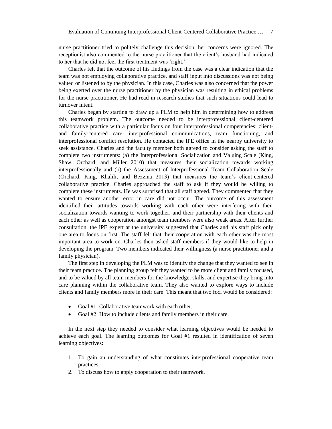nurse practitioner tried to politely challenge this decision, her concerns were ignored. The receptionist also commented to the nurse practitioner that the client's husband had indicated to her that he did not feel the first treatment was 'right.'

Charles felt that the outcome of his findings from the case was a clear indication that the team was not employing collaborative practice, and staff input into discussions was not being valued or listened to by the physician. In this case, Charles was also concerned that the power being exerted over the nurse practitioner by the physician was resulting in ethical problems for the nurse practitioner. He had read in research studies that such situations could lead to turnover intent.

Charles began by starting to draw up a PLM to help him in determining how to address this teamwork problem. The outcome needed to be interprofessional client-centered collaborative practice with a particular focus on four interprofessional competencies: clientand family-centered care, interprofessional communications, team functioning, and interprofessional conflict resolution. He contacted the IPE office in the nearby university to seek assistance. Charles and the faculty member both agreed to consider asking the staff to complete two instruments: (a) the Interprofessional Socialization and Valuing Scale (King, Shaw, Orchard, and Miller 2010) that measures their socialization towards working interprofessionally and (b) the Assessment of Interprofessional Team Collaboration Scale (Orchard, King, Khalili, and Bezzina 2013) that measures the team's client-centered collaborative practice. Charles approached the staff to ask if they would be willing to complete these instruments. He was surprised that all staff agreed. They commented that they wanted to ensure another error in care did not occur. The outcome of this assessment identified their attitudes towards working with each other were interfering with their socialization towards wanting to work together, and their partnership with their clients and each other as well as cooperation amongst team members were also weak areas. After further consultation, the IPE expert at the university suggested that Charles and his staff pick only one area to focus on first. The staff felt that their cooperation with each other was the most important area to work on. Charles then asked staff members if they would like to help in developing the program. Two members indicated their willingness (a nurse practitioner and a family physician).

The first step in developing the PLM was to identify the change that they wanted to see in their team practice. The planning group felt they wanted to be more client and family focused, and to be valued by all team members for the knowledge, skills, and expertise they bring into care planning within the collaborative team. They also wanted to explore ways to include clients and family members more in their care. This meant that two foci would be considered:

- Goal #1: Collaborative teamwork with each other.
- Goal #2: How to include clients and family members in their care.

In the next step they needed to consider what learning objectives would be needed to achieve each goal. The learning outcomes for Goal #1 resulted in identification of seven learning objectives:

- 1. To gain an understanding of what constitutes interprofessional cooperative team practices.
- 2. To discuss how to apply cooperation to their teamwork.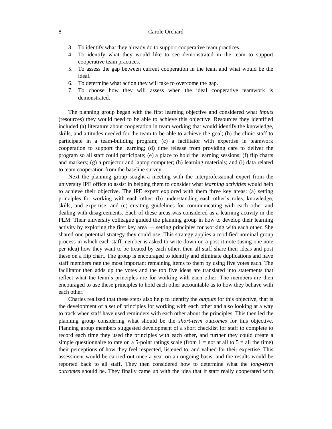- 3. To identify what they already do to support cooperative team practices.
- 4. To identify what they would like to see demonstrated in the team to support cooperative team practices.
- 5. To assess the gap between current cooperation in the team and what would be the ideal.
- 6. To determine what action they will take to overcome the gap.
- 7. To choose how they will assess when the ideal cooperative teamwork is demonstrated.

The planning group began with the first learning objective and considered what *inputs* (resources) they would need to be able to achieve this objective. Resources they identified included (a) literature about cooperation in team working that would identify the knowledge, skills, and attitudes needed for the team to be able to achieve the goal; (b) the clinic staff to participate in a team-building program; (c) a facilitator with expertise in teamwork cooperation to support the learning; (d) time release from providing care to deliver the program so all staff could participate; (e) a place to hold the learning sessions; (f) flip charts and markers; (g) a projector and laptop computer; (h) learning materials; and (i) data related to team cooperation from the baseline survey.

Next the planning group sought a meeting with the interprofessional expert from the university IPE office to assist in helping them to consider what *learning activities* would help to achieve their objective. The IPE expert explored with them three key areas: (a) setting principles for working with each other; (b) understanding each other's roles, knowledge, skills, and expertise; and (c) creating guidelines for communicating with each other and dealing with disagreements. Each of these areas was considered as a learning activity in the PLM. Their university colleague guided the planning group in how to develop their learning activity by exploring the first key area — setting principles for working with each other. She shared one potential strategy they could use. This strategy applies a modified nominal group process in which each staff member is asked to write down on a post-it note (using one note per idea) how they want to be treated by each other, then all staff share their ideas and post these on a flip chart. The group is encouraged to identify and eliminate duplications and have staff members rate the most important remaining items to them by using five votes each. The facilitator then adds up the votes and the top five ideas are translated into statements that reflect what the team's principles are for working with each other. The members are then encouraged to use these principles to hold each other accountable as to how they behave with each other.

Charles realized that these steps also help to identify the *outputs* for this objective, that is the development of a set of principles for working with each other and also looking at a way to track when staff have used reminders with each other about the principles. This then led the planning group considering what should be the *short-term outcomes* for this objective. Planning group members suggested development of a short checklist for staff to complete to record each time they used the principles with each other, and further they could create a simple questionnaire to rate on a 5-point ratings scale (from  $1 = not$  at all to  $5 = all$  the time) their perceptions of how they feel respected, listened to, and valued for their expertise. This assessment would be carried out once a year on an ongoing basis, and the results would be reported back to all staff. They then considered how to determine what the *long-term outcomes* should be. They finally came up with the idea that if staff really cooperated with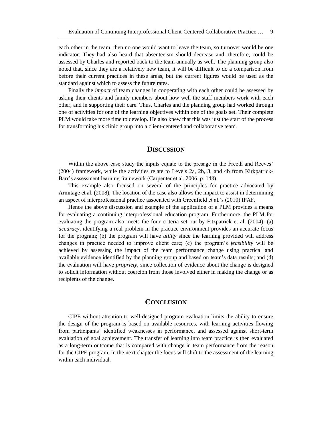each other in the team, then no one would want to leave the team, so turnover would be one indicator. They had also heard that absenteeism should decrease and, therefore, could be assessed by Charles and reported back to the team annually as well. The planning group also noted that, since they are a relatively new team, it will be difficult to do a comparison from before their current practices in these areas, but the current figures would be used as the standard against which to assess the future rates.

Finally the *impact* of team changes in cooperating with each other could be assessed by asking their clients and family members about how well the staff members work with each other, and in supporting their care. Thus, Charles and the planning group had worked through one of activities for one of the learning objectives within one of the goals set. Their complete PLM would take more time to develop. He also knew that this was just the start of the process for transforming his clinic group into a client-centered and collaborative team.

#### **DISCUSSION**

Within the above case study the inputs equate to the presage in the Freeth and Reeves' (2004) framework, while the activities relate to Levels 2a, 2b, 3, and 4b from Kirkpatrick-Barr's assessment learning framework (Carpenter et al. 2006, p. 148).

This example also focused on several of the principles for practice advocated by Armitage et al. (2008). The location of the case also allows the impact to assist in determining an aspect of interprofessional practice associated with Greenfield et al.'s (2010) IPAF.

Hence the above discussion and example of the application of a PLM provides a means for evaluating a continuing interprofessional education program. Furthermore, the PLM for evaluating the program also meets the four criteria set out by Fitzpatrick et al. (2004): (a) *accuracy*, identifying a real problem in the practice environment provides an accurate focus for the program; (b) the program will have *utility* since the learning provided will address changes in practice needed to improve client care; (c) the program's *feasibility* will be achieved by assessing the impact of the team performance change using practical and available evidence identified by the planning group and based on team's data results; and (d) the evaluation will have *propriety,* since collection of evidence about the change is designed to solicit information without coercion from those involved either in making the change or as recipients of the change.

#### **CONCLUSION**

CIPE without attention to well-designed program evaluation limits the ability to ensure the design of the program is based on available resources, with learning activities flowing from participants' identified weaknesses in performance, and assessed against short-term evaluation of goal achievement. The transfer of learning into team practice is then evaluated as a long-term outcome that is compared with change in team performance from the reason for the CIPE program. In the next chapter the focus will shift to the assessment of the learning within each individual.